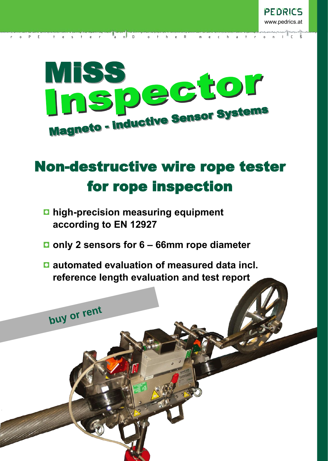

r o P E t e r a n D o t h e R m e c h a t r o n I C S

# Non-destructive wire rope tester for rope inspection

**high-precision measuring equipment according to EN 12927**

buy or rent

- **only 2 sensors for 6 66mm rope diameter**
- **automated evaluation of measured data incl. reference length evaluation and test report**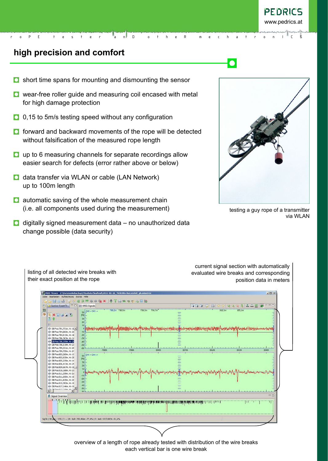## **high precision and comfort**

- short time spans for mounting and dismounting the sensor  $\bullet$
- **Q** wear-free roller guide and measuring coil encased with metal for high damage protection

r o P E t e s t e r a n D o t h e R m e c h a t r o n I C S

- 0,15 to 5m/s testing speed without any configuration
- **O** forward and backward movements of the rope will be detected without falsification of the measured rope length
- **Q** up to 6 measuring channels for separate recordings allow easier search for defects (error rather above or below)
- $\Box$  data transfer via WLAN or cable (LAN Network) up to 100m length
- **Q** automatic saving of the whole measurement chain (i.e. all components used during the measurement)
- $\Box$  digitally signed measurement data no unauthorized data change possible (data security)



testing a guy rope of a transmitter via WLAN

current signal section with automatically evaluated wire breaks and corresponding position data in meters

MISS Viewer - Z:\DateienNoBackup\MissData\laufend\2011-01-21\_VieleDBs-KurzesSeil\_gh.  $\vert x \vert$ cameetx | + Tamerall 8 a 4 | D | **X** MiSS Signals 1998 80000000000000  $=$ Section Event Tr... 50 CH2 + CH3 -> 700 3m 700 7m<sup>r</sup> 708.2m 708.5m 삐 **DB20** .<br>| DB Pos:791,731m, H:-16.4.]<br>| DB Pos:794,833m, H:-21<br>| DB Pos:794,913m, H:-16 DB Pos: 798, 519m, H:-27 DB Pos: 799, 331m, H:-26 Sp DB Pos: 799, 729m, H:-24  $SO \left[ CH1 + CH4 \right]$ DB Pos:802,269m, H:-17 49 DB Pos:802.925m, H:-25 DB Pos:805.235m, H:-14 (b DR PostRO6 413m Ht-25 DR PostROR 667m H DB Post809,667<br>DB Post810,168<br>DB Post811,359<br>DB Post811,600 vs:809,007m, H:-10,<br>Pos:810,168m, H:-21<br>Pos:811,359m, H:-21<br>Pos:811,600m, H:-15<br>Pos:811,825m, H:-20 DB Pos:815,392m, H:-19 49 DB Pos:817, 146m, H:-19 mes and a global declaration of the standard of deliver which in this is an annibility of the internal declaration of the later and a state of the state of the state of the state of the state of the state of the state of t ok | DB ges.: 535 | C: -- | B: 6s8: 250,456m -77,4% | E: 6s8: 1337,687m -51,6%

listing of all detected wire breaks with their exact position at the rope

> overview of a length of rope already tested with distribution of the wire breaks each vertical bar is one wire break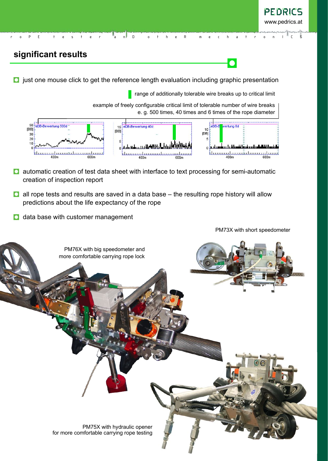## **significant results**

 $\Box$  just one mouse click to get the reference length evaluation including graphic presentation

r o P E t e s t e r a n D o t h e R m e c h a t r o n I C S

**F** range of additionally tolerable wire breaks up to critical limit

 $\bullet$ 

example of freely configurable critical limit of tolerable number of wire breaks e. g. 500 times, 40 times and 6 times of the rope diameter



- **D** automatic creation of test data sheet with interface to text processing for semi-automatic creation of inspection report
- **D** all rope tests and results are saved in a data base the resulting rope history will allow predictions about the life expectancy of the rope
- **D** data base with customer management